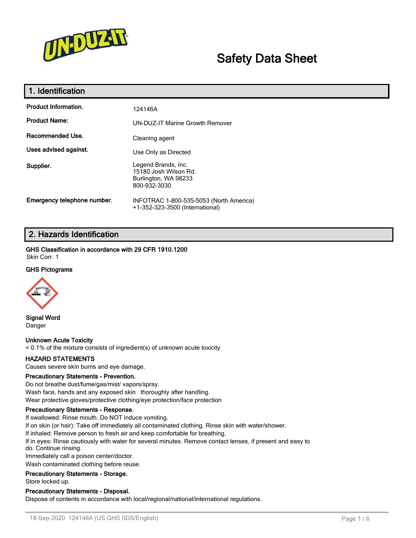

# **Safety Data Sheet**

| 1. Identification           |                                                                                      |
|-----------------------------|--------------------------------------------------------------------------------------|
| <b>Product Information.</b> | 124146A                                                                              |
| <b>Product Name:</b>        | <b>UN-DUZ-IT Marine Growth Remover</b>                                               |
| Recommended Use.            | Cleaning agent                                                                       |
| Uses advised against.       | Use Only as Directed                                                                 |
| Supplier.                   | Legend Brands, Inc.<br>15180 Josh Wilson Rd.<br>Burlington, WA 98233<br>800-932-3030 |
| Emergency telephone number. | INFOTRAC 1-800-535-5053 (North America)<br>+1-352-323-3500 (International)           |

### **2. Hazards Identification**

**GHS Classification in accordance with 29 CFR 1910.1200** Skin Corr. 1

#### **GHS Pictograms**



**Signal Word** Danger

**Unknown Acute Toxicity** < 0.1% of the mixture consists of ingredient(s) of unknown acute toxicity

#### **HAZARD STATEMENTS**

Causes severe skin burns and eye damage.

#### **Precautionary Statements - Prevention.**

Do not breathe dust/fume/gas/mist/ vapors/spray. Wash face, hands and any exposed skin thoroughly after handling. Wear protective gloves/protective clothing/eye protection/face protection

#### **Precautionary Statements - Response.**

If swallowed: Rinse mouth. Do NOT induce vomiting.

If on skin (or hair): Take off immediately all contaminated clothing. Rinse skin with water/shower.

If inhaled: Remove person to fresh air and keep comfortable for breathing.

If in eyes: Rinse cautiously with water for several minutes. Remove contact lenses, if present and easy to do. Continue rinsing.

Immediately call a poison center/doctor.

Wash contaminated clothing before reuse.

**Precautionary Statements - Storage.**

Store locked up.

#### **Precautionary Statements - Disposal.**

Dispose of contents in accordance with local/regional/national/international regulations.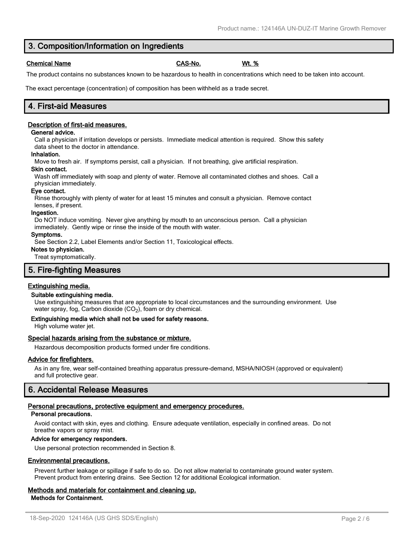### 18-Sep-2020 124146A (US GHS SDS/English) Page 2 / 6

### **3. Composition/Information on Ingredients**

### **Chemical Name CAS-No. Wt. %**

The product contains no substances known to be hazardous to health in concentrations which need to be taken into account.

The exact percentage (concentration) of composition has been withheld as a trade secret.

### **4. First-aid Measures**

### **Description of first-aid measures.**

#### **General advice.**

Call a physician if irritation develops or persists. Immediate medical attention is required. Show this safety data sheet to the doctor in attendance.

#### **Inhalation.**

Move to fresh air. If symptoms persist, call a physician. If not breathing, give artificial respiration.

#### **Skin contact.**

Wash off immediately with soap and plenty of water. Remove all contaminated clothes and shoes. Call a physician immediately.

#### **Eye contact.**

Rinse thoroughly with plenty of water for at least 15 minutes and consult a physician. Remove contact lenses, if present.

#### **Ingestion.**

Do NOT induce vomiting. Never give anything by mouth to an unconscious person. Call a physician immediately. Gently wipe or rinse the inside of the mouth with water.

#### **Symptoms.**

See Section 2.2, Label Elements and/or Section 11, Toxicological effects.

#### **Notes to physician.**

Treat symptomatically.

#### **5. Fire-fighting Measures**

#### **Extinguishing media.**

#### **Suitable extinguishing media.**

Use extinguishing measures that are appropriate to local circumstances and the surrounding environment. Use water spray, fog, Carbon dioxide (CO<sub>2</sub>), foam or dry chemical.

#### **Extinguishing media which shall not be used for safety reasons.**

High volume water jet.

#### **Special hazards arising from the substance or mixture.**

Hazardous decomposition products formed under fire conditions.

#### **Advice for firefighters.**

As in any fire, wear self-contained breathing apparatus pressure-demand, MSHA/NIOSH (approved or equivalent) and full protective gear.

### **6. Accidental Release Measures**

#### **Personal precautions, protective equipment and emergency procedures.**

#### **Personal precautions.**

Avoid contact with skin, eyes and clothing. Ensure adequate ventilation, especially in confined areas. Do not breathe vapors or spray mist.

#### **Advice for emergency responders.**

Use personal protection recommended in Section 8.

#### **Environmental precautions.**

Prevent further leakage or spillage if safe to do so. Do not allow material to contaminate ground water system. Prevent product from entering drains. See Section 12 for additional Ecological information.

#### **Methods and materials for containment and cleaning up. Methods for Containment.**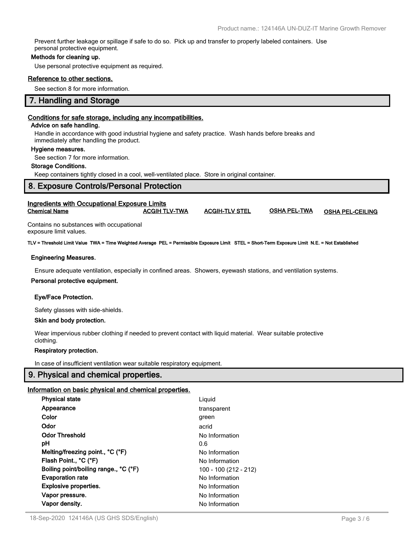Prevent further leakage or spillage if safe to do so. Pick up and transfer to properly labeled containers. Use personal protective equipment.

#### **Methods for cleaning up.**

Use personal protective equipment as required.

#### **Reference to other sections.**

See section 8 for more information.

#### **7. Handling and Storage**

#### **Conditions for safe storage, including any incompatibilities.**

#### **Advice on safe handling.**

Handle in accordance with good industrial hygiene and safety practice. Wash hands before breaks and immediately after handling the product.

#### **Hygiene measures.**

See section 7 for more information.

#### **Storage Conditions.**

Keep containers tightly closed in a cool, well-ventilated place. Store in original container.

| <b>Ingredients with Occupational Exposure Limits</b> |                      |                       |                     |                         |
|------------------------------------------------------|----------------------|-----------------------|---------------------|-------------------------|
| <b>Chemical Name</b>                                 | <b>ACGIH TLV-TWA</b> | <b>ACGIH-TLV STEL</b> | <b>OSHA PEL-TWA</b> | <b>OSHA PEL-CEILING</b> |

Contains no substances with occupational exposure limit values.

**TLV = Threshold Limit Value TWA = Time Weighted Average PEL = Permissible Exposure Limit STEL = Short-Term Exposure Limit N.E. = Not Established**

#### **Engineering Measures.**

Ensure adequate ventilation, especially in confined areas. Showers, eyewash stations, and ventilation systems.

#### **Personal protective equipment.**

#### **Eye/Face Protection.**

Safety glasses with side-shields.

#### **Skin and body protection.**

Wear impervious rubber clothing if needed to prevent contact with liquid material. Wear suitable protective clothing.

#### **Respiratory protection.**

In case of insufficient ventilation wear suitable respiratory equipment.

#### **9. Physical and chemical properties.**

#### **Information on basic physical and chemical properties.**

| <b>Physical state</b>                 | Liquid                |
|---------------------------------------|-----------------------|
| Appearance                            | transparent           |
| Color                                 | green                 |
| Odor                                  | acrid                 |
| <b>Odor Threshold</b>                 | No Information        |
| рH                                    | 0.6                   |
| Melting/freezing point., °C (°F)      | No Information        |
| Flash Point., °C (°F)                 | No Information        |
| Boiling point/boiling range., °C (°F) | 100 - 100 (212 - 212) |
| <b>Evaporation rate</b>               | No Information        |
| <b>Explosive properties.</b>          | No Information        |
| Vapor pressure.                       | No Information        |
| Vapor density.                        | No Information        |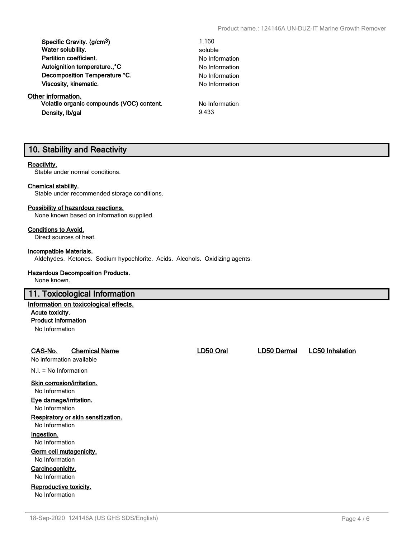| Specific Gravity. (g/cm <sup>3</sup> )    | 1.160          |
|-------------------------------------------|----------------|
| Water solubility.                         | soluble        |
| <b>Partition coefficient.</b>             | No Information |
| Autoignition temperature°C                | No Information |
| Decomposition Temperature °C.             | No Information |
| Viscosity, kinematic.                     | No Information |
| Other information.                        |                |
| Volatile organic compounds (VOC) content. | No Information |
| Density, Ib/gal                           | 9.433          |

### **10. Stability and Reactivity**

#### **Reactivity.**

Stable under normal conditions.

#### **Chemical stability.**

Stable under recommended storage conditions.

#### **Possibility of hazardous reactions.**

None known based on information supplied.

### **Conditions to Avoid.**

Direct sources of heat.

#### **Incompatible Materials.**

Aldehydes. Ketones. Sodium hypochlorite. Acids. Alcohols. Oxidizing agents.

#### **Hazardous Decomposition Products.**

None known.

#### **11. Toxicological Information**

#### **Information on toxicological effects. Acute toxicity.**

**Product Information**

No Information

### **CAS-No. Chemical Name LD50 Oral LD50 Dermal LC50 Inhalation**

No information available

N.I. = No Information

#### **Skin corrosion/irritation.**

No Information

**Eye damage/irritation.**

No Information

### **Respiratory or skin sensitization.**

No Information

### **Ingestion.**

No Information

### **Germ cell mutagenicity.**

No Information

#### **Carcinogenicity.** No Information

**Reproductive toxicity.** No Information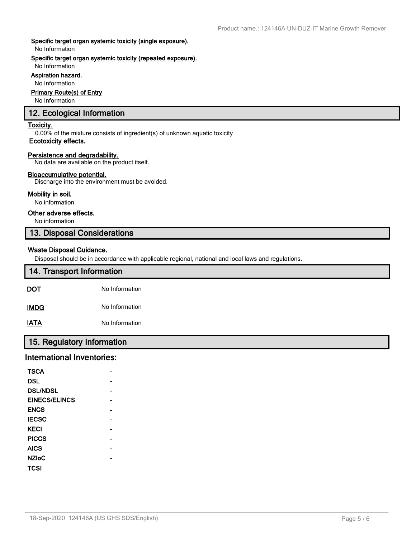#### **Specific target organ systemic toxicity (single exposure).**

No Information

#### **Specific target organ systemic toxicity (repeated exposure).**

#### No Information **Aspiration hazard.**

No Information

#### **Primary Route(s) of Entry**

No Information

### **12. Ecological Information**

#### **Toxicity.**

0.00% of the mixture consists of ingredient(s) of unknown aquatic toxicity **Ecotoxicity effects.**

#### **Persistence and degradability.**

No data are available on the product itself.

#### **Bioaccumulative potential.**

Discharge into the environment must be avoided.

#### **Mobility in soil.**

No information

#### **Other adverse effects.**

No information

### **13. Disposal Considerations**

#### **Waste Disposal Guidance.**

Disposal should be in accordance with applicable regional, national and local laws and regulations.

| 14. Transport Information |                |
|---------------------------|----------------|
| <u>DOT</u>                | No Information |
| <b>IMDG</b>               | No Information |
| <u>IATA</u>               | No Information |

### **15. Regulatory Information**

### **International Inventories:**

| <b>TSCA</b>          |  |
|----------------------|--|
| <b>DSL</b>           |  |
| <b>DSL/NDSL</b>      |  |
| <b>EINECS/ELINCS</b> |  |
| <b>ENCS</b>          |  |
| <b>IECSC</b>         |  |
| <b>KECI</b>          |  |
| <b>PICCS</b>         |  |
| <b>AICS</b>          |  |
| <b>NZIoC</b>         |  |
| <b>TCSI</b>          |  |
|                      |  |